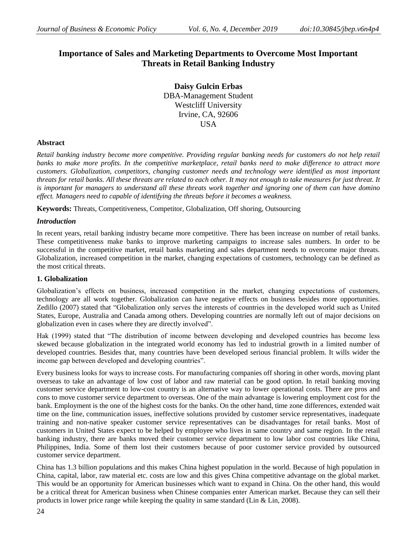# **Importance of Sales and Marketing Departments to Overcome Most Important Threats in Retail Banking Industry**

**Daisy Gulcin Erbas** DBA-Management Student Westcliff University Irvine, CA, 92606 **USA** 

# **Abstract**

*Retail banking industry become more competitive. Providing regular banking needs for customers do not help retail banks to make more profits. In the competitive marketplace, retail banks need to make difference to attract more customers. Globalization, competitors, changing customer needs and technology were identified as most important threats for retail banks. All these threats are related to each other. It may not enough to take measures for just threat. It is important for managers to understand all these threats work together and ignoring one of them can have domino effect. Managers need to capable of identifying the threats before it becomes a weakness.*

**Keywords:** Threats, Competitiveness, Competitor, Globalization, Off shoring, Outsourcing

### *Introduction*

In recent years, retail banking industry became more competitive. There has been increase on number of retail banks. These competitiveness make banks to improve marketing campaigns to increase sales numbers. In order to be successful in the competitive market, retail banks marketing and sales department needs to overcome major threats. Globalization, increased competition in the market, changing expectations of customers, technology can be defined as the most critical threats.

### **1. Globalization**

Globalization's effects on business, increased competition in the market, changing expectations of customers, technology are all work together. Globalization can have negative effects on business besides more opportunities. Zedillo (2007) stated that "Globalization only serves the interests of countries in the developed world such as United States, Europe, Australia and Canada among others. Developing countries are normally left out of major decisions on globalization even in cases where they are directly involved".

Hak (1999) stated that "The distribution of income between developing and developed countries has become less skewed because globalization in the integrated world economy has led to industrial growth in a limited number of developed countries. Besides that, many countries have been developed serious financial problem. It wills wider the income gap between developed and developing countries".

Every business looks for ways to increase costs. For manufacturing companies off shoring in other words, moving plant overseas to take an advantage of low cost of labor and raw material can be good option. In retail banking moving customer service department to low-cost country is an alternative way to lower operational costs. There are pros and cons to move customer service department to overseas. One of the main advantage is lowering employment cost for the bank. Employment is the one of the highest costs for the banks. On the other hand, time zone differences, extended wait time on the line, communication issues, ineffective solutions provided by customer service representatives, inadequate training and non-native speaker customer service representatives can be disadvantages for retail banks. Most of customers in United States expect to be helped by employee who lives in same country and same region. In the retail banking industry, there are banks moved their customer service department to low labor cost countries like China, Philippines, India. Some of them lost their customers because of poor customer service provided by outsourced customer service department.

China has 1.3 billion populations and this makes China highest population in the world. Because of high population in China, capital, labor, raw material etc. costs are low and this gives China competitive advantage on the global market. This would be an opportunity for American businesses which want to expand in China. On the other hand, this would be a critical threat for American business when Chinese companies enter American market. Because they can sell their products in lower price range while keeping the quality in same standard (Lin & Lin, 2008).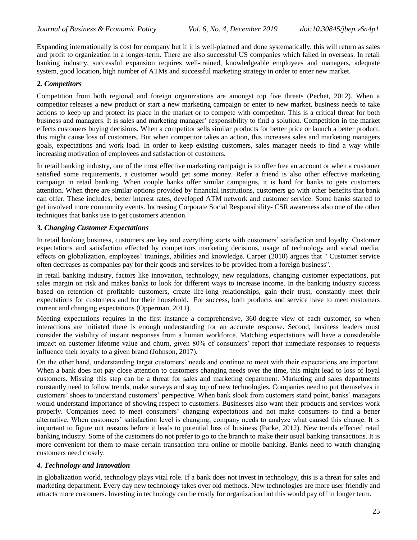Expanding internationally is cost for company but if it is well-planned and done systematically, this will return as sales and profit to organization in a longer-term. There are also successful US companies which failed in overseas. In retail banking industry, successful expansion requires well-trained, knowledgeable employees and managers, adequate system, good location, high number of ATMs and successful marketing strategy in order to enter new market.

## *2. Competitors*

Competition from both regional and foreign organizations are amongst top five threats (Pechet, 2012). When a competitor releases a new product or start a new marketing campaign or enter to new market, business needs to take actions to keep up and protect its place in the market or to compete with competitor. This is a critical threat for both business and managers. It is sales and marketing manager' responsibility to find a solution. Competition in the market effects customers buying decisions. When a competitor sells similar products for better price or launch a better product, this might cause loss of customers. But when competitor takes an action, this increases sales and marketing managers goals, expectations and work load. In order to keep existing customers, sales manager needs to find a way while increasing motivation of employees and satisfaction of customers.

In retail banking industry, one of the most effective marketing campaign is to offer free an account or when a customer satisfied some requirements, a customer would get some money. Refer a friend is also other effective marketing campaign in retail banking. When couple banks offer similar campaigns, it is hard for banks to gets customers attention. When there are similar options provided by financial institutions, customers go with other benefits that bank can offer. These includes, better interest rates, developed ATM network and customer service. Some banks started to get involved more community events. Increasing Corporate Social Responsibility- CSR awareness also one of the other techniques that banks use to get customers attention.

### *3. Changing Customer Expectations*

In retail banking business, customers are key and everything starts with customers' satisfaction and loyalty. Customer expectations and satisfaction effected by competitors marketing decisions, usage of technology and social media, effects on globalization, employees' trainings, abilities and knowledge. Carper (2010) argues that " Customer service often decreases as companies pay for their goods and services to be provided from a foreign business".

In retail banking industry, factors like innovation, technology, new regulations, changing customer expectations, put sales margin on risk and makes banks to look for different ways to increase income. In the banking industry success based on retention of profitable customers, create life-long relationships, gain their trust, constantly meet their expectations for customers and for their household. For success, both products and service have to meet customers current and changing expectations (Opperman, 2011).

Meeting expectations requires in the first instance a comprehensive, 360-degree view of each customer, so when interactions are initiated there is enough understanding for an accurate response. Second, business leaders must consider the viability of instant responses from a human workforce. Matching expectations will have a considerable impact on customer lifetime value and churn, given 80% of consumers' report that immediate responses to requests influence their loyalty to a given brand (Johnson, 2017).

On the other hand, understanding target customers' needs and continue to meet with their expectations are important. When a bank does not pay close attention to customers changing needs over the time, this might lead to loss of loyal customers. Missing this step can be a threat for sales and marketing department. Marketing and sales departments constantly need to follow trends, make surveys and stay top of new technologies. Companies need to put themselves in customers' shoes to understand customers' perspective. When bank slook from customers stand point, banks' managers would understand importance of showing respect to customers. Businesses also want their products and services work properly. Companies need to meet consumers' changing expectations and not make consumers to find a better alternative. When customers' satisfaction level is changing, company needs to analyze what caused this change. It is important to figure out reasons before it leads to potential loss of business (Parke, 2012). New trends effected retail banking industry. Some of the customers do not prefer to go to the branch to make their usual banking transactions. It is more convenient for them to make certain transaction thru online or mobile banking. Banks need to watch changing customers need closely.

### *4. Technology and Innovation*

In globalization world, technology plays vital role. If a bank does not invest in technology, this is a threat for sales and marketing department. Every day new technology takes over old methods. New technologies are more user friendly and attracts more customers. Investing in technology can be costly for organization but this would pay off in longer term.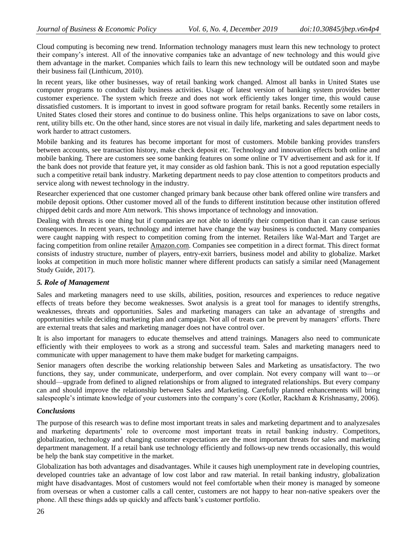Cloud computing is becoming new trend. Information technology managers must learn this new technology to protect their company's interest. All of the innovative companies take an advantage of new technology and this would give them advantage in the market. Companies which fails to learn this new technology will be outdated soon and maybe their business fail (Linthicum, 2010).

In recent years, like other businesses, way of retail banking work changed. Almost all banks in United States use computer programs to conduct daily business activities. Usage of latest version of banking system provides better customer experience. The system which freeze and does not work efficiently takes longer time, this would cause dissatisfied customers. It is important to invest in good software program for retail banks. Recently some retailers in United States closed their stores and continue to do business online. This helps organizations to save on labor costs, rent, utility bills etc. On the other hand, since stores are not visual in daily life, marketing and sales department needs to work harder to attract customers.

Mobile banking and its features has become important for most of customers. Mobile banking provides transfers between accounts, see transaction history, make check deposit etc. Technology and innovation effects both online and mobile banking. There are customers see some banking features on some online or TV advertisement and ask for it. If the bank does not provide that feature yet, it may consider as old fashion bank. This is not a good reputation especially such a competitive retail bank industry. Marketing department needs to pay close attention to competitors products and service along with newest technology in the industry.

Researcher experienced that one customer changed primary bank because other bank offered online wire transfers and mobile deposit options. Other customer moved all of the funds to different institution because other institution offered chipped debit cards and more Atm network. This shows importance of technology and innovation.

Dealing with threats is one thing but if companies are not able to identify their competition than it can cause serious consequences. In recent years, technology and internet have change the way business is conducted. Many companies were caught napping with respect to competition coming from the internet. Retailers like Wal-Mart and Target are facing competition from online retailer [Amazon.com.](http://amazon.com/) Companies see competition in a direct format. This direct format consists of industry structure, number of players, entry-exit barriers, business model and ability to globalize. Market looks at competition in much more holistic manner where different products can satisfy a similar need (Management Study Guide, 2017).

### *5. Role of Management*

Sales and marketing managers need to use skills, abilities, position, resources and experiences to reduce negative effects of treats before they become weaknesses. Swot analysis is a great tool for manages to identify strengths, weaknesses, threats and opportunities. Sales and marketing managers can take an advantage of strengths and opportunities while deciding marketing plan and campaign. Not all of treats can be prevent by managers' efforts. There are external treats that sales and marketing manager does not have control over.

It is also important for managers to educate themselves and attend trainings. Managers also need to communicate efficiently with their employees to work as a strong and successful team. Sales and marketing managers need to communicate with upper management to have them make budget for marketing campaigns.

Senior managers often describe the working relationship between Sales and Marketing as unsatisfactory. The two functions, they say, under communicate, underperform, and over complain. Not every company will want to—or should—upgrade from defined to aligned relationships or from aligned to integrated relationships. But every company can and should improve the relationship between Sales and Marketing. Carefully planned enhancements will bring salespeople's intimate knowledge of your customers into the company's core (Kotler, Rackham & Krishnasamy, 2006).

### *Conclusions*

The purpose of this research was to define most important treats in sales and marketing department and to analyzesales and marketing departments' role to overcome most important treats in retail banking industry. Competitors, globalization, technology and changing customer expectations are the most important threats for sales and marketing department management. If a retail bank use technology efficiently and follows-up new trends occasionally, this would be help the bank stay competitive in the market.

Globalization has both advantages and disadvantages. While it causes high unemployment rate in developing countries, developed countries take an advantage of low cost labor and raw material. In retail banking industry, globalization might have disadvantages. Most of customers would not feel comfortable when their money is managed by someone from overseas or when a customer calls a call center, customers are not happy to hear non-native speakers over the phone. All these things adds up quickly and affects bank's customer portfolio.